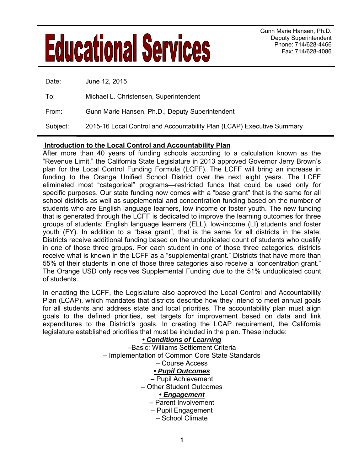# Gunn Marie Hansen, Ph.D.<br>Deputy Superintendent

Deputy Superintendent Phone: 714/628-4466 Fax: 714/628-4086

| Date:    | June 12, 2015                                                          |
|----------|------------------------------------------------------------------------|
| _To∶     | Michael L. Christensen, Superintendent                                 |
| From:    | Gunn Marie Hansen, Ph.D., Deputy Superintendent                        |
| Subject: | 2015-16 Local Control and Accountability Plan (LCAP) Executive Summary |

#### **Introduction to the Local Control and Accountability Plan**

After more than 40 years of funding schools according to a calculation known as the "Revenue Limit," the California State Legislature in 2013 approved Governor Jerry Brown's plan for the Local Control Funding Formula (LCFF). The LCFF will bring an increase in funding to the Orange Unified School District over the next eight years. The LCFF eliminated most "categorical" programs—restricted funds that could be used only for specific purposes. Our state funding now comes with a "base grant" that is the same for all school districts as well as supplemental and concentration funding based on the number of students who are English language learners, low income or foster youth. The new funding that is generated through the LCFF is dedicated to improve the learning outcomes for three groups of students: English language learners (ELL), low-income (LI) students and foster youth (FY). In addition to a "base grant", that is the same for all districts in the state; Districts receive additional funding based on the unduplicated count of students who qualify in one of those three groups. For each student in one of those three categories, districts receive what is known in the LCFF as a "supplemental grant." Districts that have more than 55% of their students in one of those three categories also receive a "concentration grant." The Orange USD only receives Supplemental Funding due to the 51% unduplicated count of students.

In enacting the LCFF, the Legislature also approved the Local Control and Accountability Plan (LCAP), which mandates that districts describe how they intend to meet annual goals for all students and address state and local priorities. The accountability plan must align goals to the defined priorities, set targets for improvement based on data and link expenditures to the District's goals. In creating the LCAP requirement, the California legislature established priorities that must be included in the plan. These include:

#### **•** *Conditions of Learning*  –Basic: Williams Settlement Criteria – Implementation of Common Core State Standards – Course Access **•** *Pupil Outcomes*  – Pupil Achievement – Other Student Outcomes **•** *Engagement* – Parent Involvement – Pupil Engagement – School Climate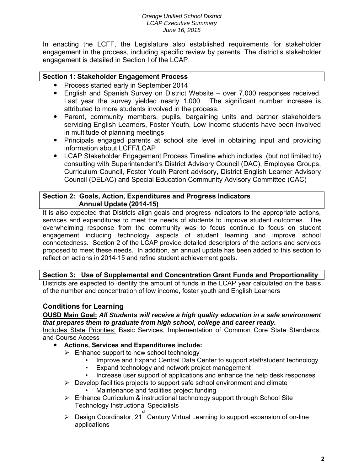#### *Orange Unified School District LCAP Executive Summary June 16, 2015*

In enacting the LCFF, the Legislature also established requirements for stakeholder engagement in the process, including specific review by parents. The district's stakeholder engagement is detailed in Section I of the LCAP.

#### **Section 1: Stakeholder Engagement Process**

- Process started early in September 2014
- English and Spanish Survey on District Website over 7,000 responses received. Last year the survey yielded nearly 1,000. The significant number increase is attributed to more students involved in the process.
- Parent, community members, pupils, bargaining units and partner stakeholders servicing English Learners, Foster Youth, Low Income students have been involved in multitude of planning meetings
- Principals engaged parents at school site level in obtaining input and providing information about LCFF/LCAP
- LCAP Stakeholder Engagement Process Timeline which includes (but not limited to) consulting with Superintendent's District Advisory Council (DAC), Employee Groups, Curriculum Council, Foster Youth Parent advisory, District English Learner Advisory Council (DELAC) and Special Education Community Advisory Committee (CAC)

#### **Section 2: Goals, Action, Expenditures and Progress Indicators Annual Update (2014-15)**

It is also expected that Districts align goals and progress indicators to the appropriate actions, services and expenditures to meet the needs of students to improve student outcomes. The overwhelming response from the community was to focus continue to focus on student engagement including technology aspects of student learning and improve school connectedness. Section 2 of the LCAP provide detailed descriptors of the actions and services proposed to meet these needs. In addition, an annual update has been added to this section to reflect on actions in 2014-15 and refine student achievement goals.

#### **Section 3: Use of Supplemental and Concentration Grant Funds and Proportionality**

Districts are expected to identify the amount of funds in the LCAP year calculated on the basis of the number and concentration of low income, foster youth and English Learners

#### **Conditions for Learning**

**OUSD Main Goal:** *All Students will receive a high quality education in a safe environment that prepares them to graduate from high school, college and career ready.* 

Includes State Priorities: Basic Services, Implementation of Common Core State Standards, and Course Access

- **Actions, Services and Expenditures include:**
	- $\triangleright$  Enhance support to new school technology
		- Improve and Expand Central Data Center to support staff/student technology
		- Expand technology and network project management
		- Increase user support of applications and enhance the help desk responses
	- $\triangleright$  Develop facilities projects to support safe school environment and climate • Maintenance and facilities project funding
	- ▶ Enhance Curriculum & instructional technology support through School Site Technology Instructional Specialists
	- > Design Coordinator, 21<sup>st</sup> Century Virtual Learning to support expansion of on-line applications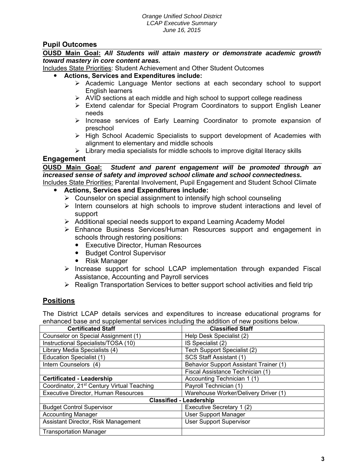## **Pupil Outcomes**

**OUSD Main Goal:** *All Students will attain mastery or demonstrate academic growth toward mastery in core content areas.* 

Includes State Priorities: Student Achievement and Other Student Outcomes

- **Actions, Services and Expenditures include:**
	- $\triangleright$  Academic Language Mentor sections at each secondary school to support English learners
	- $\triangleright$  AVID sections at each middle and high school to support college readiness
	- $\triangleright$  Extend calendar for Special Program Coordinators to support English Leaner needs
	- $\triangleright$  Increase services of Early Learning Coordinator to promote expansion of preschool
	- $\triangleright$  High School Academic Specialists to support development of Academies with alignment to elementary and middle schools
	- $\triangleright$  Library media specialists for middle schools to improve digital literacy skills

#### **Engagement**

**OUSD Main Goal:** *Student and parent engagement will be promoted through an increased sense of safety and improved school climate and school connectedness.*  Includes State Priorities: Parental Involvement, Pupil Engagement and Student School Climate

- **Actions, Services and Expenditures include:**
	- $\triangleright$  Counselor on special assignment to intensify high school counseling
	- $\triangleright$  Intern counselors at high schools to improve student interactions and level of support
	- Additional special needs support to expand Learning Academy Model
	- Enhance Business Services/Human Resources support and engagement in schools through restoring positions:
		- Executive Director, Human Resources
		- Budget Control Supervisor
		- Risk Manager
	- $\triangleright$  Increase support for school LCAP implementation through expanded Fiscal Assistance, Accounting and Payroll services
	- $\triangleright$  Realign Transportation Services to better support school activities and field trip

# **Positions**

The District LCAP details services and expenditures to increase educational programs for enhanced base and supplemental services including the addition of new positions below.

| <b>Certificated Staff</b>                              | <b>Classified Staff</b>                       |  |  |  |
|--------------------------------------------------------|-----------------------------------------------|--|--|--|
| Counselor on Special Assignment (1)                    | Help Desk Specialist (2)                      |  |  |  |
| Instructional Specialists/TOSA (10)                    | IS Specialist (2)                             |  |  |  |
| Library Media Specialists (4)                          | Tech Support Specialist (2)                   |  |  |  |
| <b>Education Specialist (1)</b>                        | SCS Staff Assistant (1)                       |  |  |  |
| Intern Counselors (4)                                  | <b>Behavior Support Assistant Trainer (1)</b> |  |  |  |
|                                                        | Fiscal Assistance Technician (1)              |  |  |  |
| <b>Certificated - Leadership</b>                       | Accounting Technician 1 (1)                   |  |  |  |
| Coordinator, 21 <sup>st</sup> Century Virtual Teaching | Payroll Technician (1)                        |  |  |  |
| <b>Executive Director, Human Resources</b>             | Warehouse Worker/Delivery Driver (1)          |  |  |  |
| <b>Classified - Leadership</b>                         |                                               |  |  |  |
| <b>Budget Control Supervisor</b>                       | Executive Secretary 1 (2)                     |  |  |  |
| <b>Accounting Manager</b>                              | <b>User Support Manager</b>                   |  |  |  |
| Assistant Director, Risk Management                    | <b>User Support Supervisor</b>                |  |  |  |
| <b>Transportation Manager</b>                          |                                               |  |  |  |